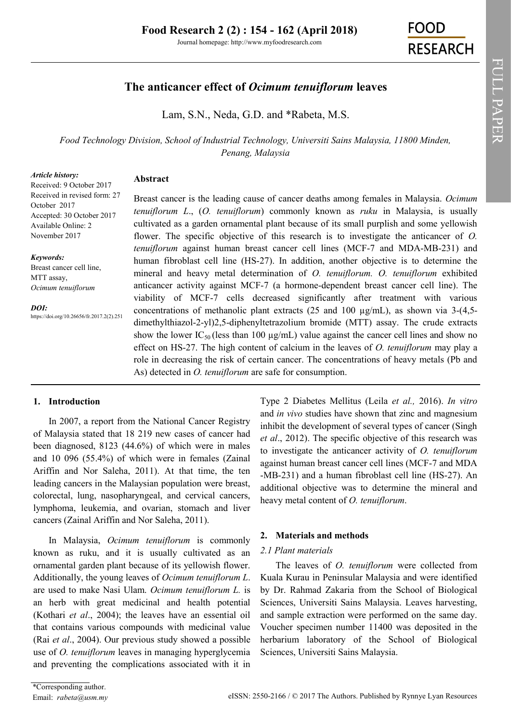# **FOOD RESEARCH**

# **The anticancer effect of** *Ocimum tenuiflorum* **leaves**

Lam, S.N., Neda, G.D. and \*Rabeta, M.S.

*Food Technology Division, School of Industrial Technology, Universiti Sains Malaysia, 11800 Minden, Penang, Malaysia*

# *Article history:*

**Abstract**

Received: 9 October 2017 Received in revised form: 27 October 2017 Accepted: 30 October 2017 Available Online: 2 November 2017

*Keywords:* Breast cancer cell line,

MTT assay, *Ocimum tenuiflorum*

*DOI:*

https://doi.org/10.26656/fr.2017.2(2).251

Breast cancer is the leading cause of cancer deaths among females in Malaysia. *Ocimum tenuiflorum L*., (*O. tenuiflorum*) commonly known as *ruku* in Malaysia, is usually cultivated as a garden ornamental plant because of its small purplish and some yellowish flower. The specific objective of this research is to investigate the anticancer of *O. tenuiflorum* against human breast cancer cell lines (MCF-7 and MDA-MB-231) and human fibroblast cell line (HS-27). In addition, another objective is to determine the mineral and heavy metal determination of *O. tenuiflorum. O. tenuiflorum* exhibited anticancer activity against MCF-7 (a hormone-dependent breast cancer cell line). The viability of MCF-7 cells decreased significantly after treatment with various concentrations of methanolic plant extracts (25 and 100  $\mu$ g/mL), as shown via 3-(4,5dimethylthiazol-2-yl)2,5-diphenyltetrazolium bromide (MTT) assay. The crude extracts show the lower IC<sub>50</sub> (less than 100  $\mu$ g/mL) value against the cancer cell lines and show no effect on HS-27. The high content of calcium in the leaves of *O. tenuiflorum* may play a role in decreasing the risk of certain cancer. The concentrations of heavy metals (Pb and As) detected in *O. tenuiflorum* are safe for consumption.

# **1. Introduction**

In 2007, a report from the National Cancer Registry of Malaysia stated that 18 219 new cases of cancer had been diagnosed, 8123 (44.6%) of which were in males and 10 096 (55.4%) of which were in females (Zainal Ariffin and Nor Saleha, 2011). At that time, the ten leading cancers in the Malaysian population were breast, colorectal, lung, nasopharyngeal, and cervical cancers, lymphoma, leukemia, and ovarian, stomach and liver cancers (Zainal Ariffin and Nor Saleha, 2011).

In Malaysia, *Ocimum tenuiflorum* is commonly known as ruku, and it is usually cultivated as an ornamental garden plant because of its yellowish flower. Additionally, the young leaves of *Ocimum tenuiflorum L*. are used to make Nasi Ulam. *Ocimum tenuiflorum L.* is an herb with great medicinal and health potential (Kothari *et al*., 2004); the leaves have an essential oil that contains various compounds with medicinal value (Rai *et al*., 2004). Our previous study showed a possible use of *O. tenuiflorum* leaves in managing hyperglycemia and preventing the complications associated with it in

Type 2 Diabetes Mellitus (Leila *et al.,* 2016). *In vitro*  and *in vivo* studies have shown that zinc and magnesium inhibit the development of several types of cancer (Singh *et al*., 2012). The specific objective of this research was to investigate the anticancer activity of *O. tenuiflorum* against human breast cancer cell lines (MCF-7 and MDA -MB-231) and a human fibroblast cell line (HS-27). An additional objective was to determine the mineral and heavy metal content of *O. tenuiflorum*.

# **2. Materials and methods**

# *2.1 Plant materials*

The leaves of *O. tenuiflorum* were collected from Kuala Kurau in Peninsular Malaysia and were identified by Dr. Rahmad Zakaria from the School of Biological Sciences, Universiti Sains Malaysia. Leaves harvesting, and sample extraction were performed on the same day. Voucher specimen number 11400 was deposited in the herbarium laboratory of the School of Biological Sciences, Universiti Sains Malaysia.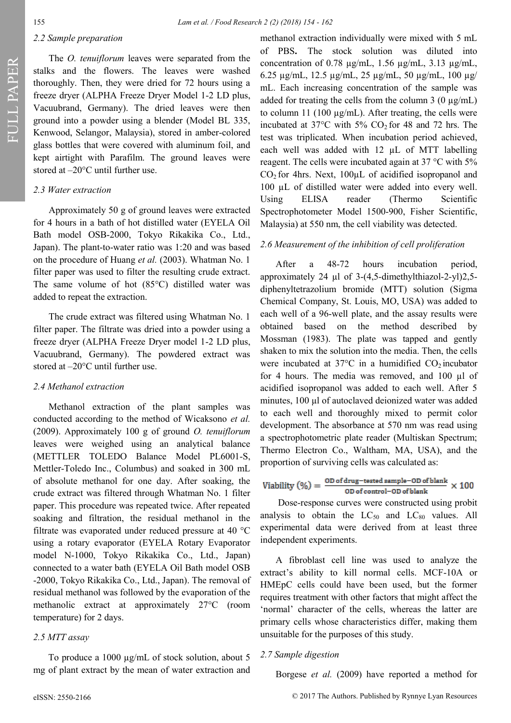# *2.2 Sample preparation*

The *O. tenuiflorum* leaves were separated from the stalks and the flowers. The leaves were washed thoroughly. Then, they were dried for 72 hours using a freeze dryer (ALPHA Freeze Dryer Model 1-2 LD plus, Vacuubrand, Germany). The dried leaves were then ground into a powder using a blender (Model BL 335, Kenwood, Selangor, Malaysia), stored in amber-colored glass bottles that were covered with aluminum foil, and kept airtight with Parafilm. The ground leaves were stored at –20°C until further use.

#### *2.3 Water extraction*

Approximately 50 g of ground leaves were extracted for 4 hours in a bath of hot distilled water (EYELA Oil Bath model OSB-2000, Tokyo Rikakika Co., Ltd., Japan). The plant-to-water ratio was 1:20 and was based on the procedure of Huang *et al.* (2003). Whatman No. 1 filter paper was used to filter the resulting crude extract. The same volume of hot (85°C) distilled water was added to repeat the extraction.

The crude extract was filtered using Whatman No. 1 filter paper. The filtrate was dried into a powder using a freeze dryer (ALPHA Freeze Dryer model 1-2 LD plus, Vacuubrand, Germany). The powdered extract was stored at –20°C until further use.

#### *2.4 Methanol extraction*

Methanol extraction of the plant samples was conducted according to the method of Wicaksono *et al.* (2009). Approximately 100 g of ground *O. tenuiflorum*  leaves were weighed using an analytical balance (METTLER TOLEDO Balance Model PL6001-S, Mettler-Toledo Inc., Columbus) and soaked in 300 mL of absolute methanol for one day. After soaking, the crude extract was filtered through Whatman No. 1 filter paper. This procedure was repeated twice. After repeated soaking and filtration, the residual methanol in the filtrate was evaporated under reduced pressure at 40 °C using a rotary evaporator (EYELA Rotary Evaporator model N-1000, Tokyo Rikakika Co., Ltd., Japan) connected to a water bath (EYELA Oil Bath model OSB -2000, Tokyo Rikakika Co., Ltd., Japan). The removal of residual methanol was followed by the evaporation of the methanolic extract at approximately 27°C (room temperature) for 2 days.

#### *2.5 MTT assay*

To produce a 1000 µg/mL of stock solution, about 5 mg of plant extract by the mean of water extraction and

methanol extraction individually were mixed with 5 mL of PBS**.** The stock solution was diluted into concentration of 0.78 µg/mL, 1.56 µg/mL, 3.13 µg/mL, 6.25 µg/mL, 12.5 µg/mL, 25 µg/mL, 50 µg/mL, 100 µg/ mL. Each increasing concentration of the sample was added for treating the cells from the column 3 (0  $\mu$ g/mL) to column 11 (100 µg/mL). After treating, the cells were incubated at  $37^{\circ}$ C with  $5\%$  CO<sub>2</sub> for 48 and 72 hrs. The test was triplicated. When incubation period achieved, each well was added with 12 µL of MTT labelling reagent. The cells were incubated again at 37 °C with 5%  $CO<sub>2</sub>$  for 4hrs. Next,  $100 \mu L$  of acidified isopropanol and 100 µL of distilled water were added into every well. Using ELISA reader (Thermo Scientific Spectrophotometer Model 1500-900, Fisher Scientific, Malaysia) at 550 nm, the cell viability was detected.

#### *2.6 Measurement of the inhibition of cell proliferation*

After a 48-72 hours incubation period, approximately 24 µl of 3-(4,5-dimethylthiazol-2-yl)2,5 diphenyltetrazolium bromide (MTT) solution (Sigma Chemical Company, St. Louis, MO, USA) was added to each well of a 96-well plate, and the assay results were obtained based on the method described by Mossman (1983). The plate was tapped and gently shaken to mix the solution into the media. Then, the cells were incubated at  $37^{\circ}$ C in a humidified CO<sub>2</sub> incubator for 4 hours. The media was removed, and 100 µl of acidified isopropanol was added to each well. After 5 minutes, 100 µl of autoclaved deionized water was added to each well and thoroughly mixed to permit color development. The absorbance at 570 nm was read using a spectrophotometric plate reader (Multiskan Spectrum; Thermo Electron Co., Waltham, MA, USA), and the proportion of surviving cells was calculated as:

$$
Viability (%) = \frac{OD \ of \ drug - tested \ sample - OD \ of \ blank}{OD \ of \ control - OD \ of \ blank} \times 100
$$

Dose-response curves were constructed using probit analysis to obtain the  $LC_{50}$  and  $LC_{80}$  values. All experimental data were derived from at least three independent experiments.

A fibroblast cell line was used to analyze the extract's ability to kill normal cells. MCF-10A or HMEpC cells could have been used, but the former requires treatment with other factors that might affect the 'normal' character of the cells, whereas the latter are primary cells whose characteristics differ, making them unsuitable for the purposes of this study.

#### *2.7 Sample digestion*

Borgese *et al.* (2009) have reported a method for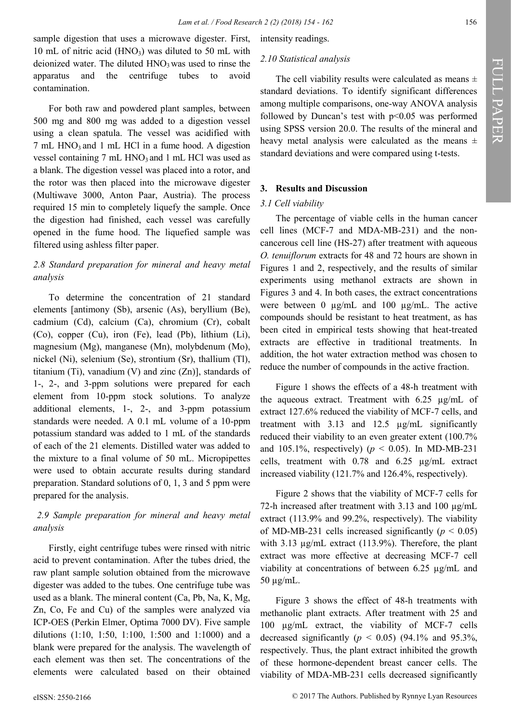sample digestion that uses a microwave digester. First, 10 mL of nitric acid  $(HNO<sub>3</sub>)$  was diluted to 50 mL with deionized water. The diluted  $HNO<sub>3</sub>$  was used to rinse the apparatus and the centrifuge tubes to avoid contamination.

For both raw and powdered plant samples, between 500 mg and 800 mg was added to a digestion vessel using a clean spatula. The vessel was acidified with  $7 \text{ mL HNO}_3$  and 1 mL HCl in a fume hood. A digestion vessel containing 7 mL HNO<sub>3</sub> and 1 mL HCl was used as a blank. The digestion vessel was placed into a rotor, and the rotor was then placed into the microwave digester (Multiwave 3000, Anton Paar, Austria). The process required 15 min to completely liquefy the sample. Once the digestion had finished, each vessel was carefully opened in the fume hood. The liquefied sample was filtered using ashless filter paper.

# *2.8 Standard preparation for mineral and heavy metal analysis*

To determine the concentration of 21 standard elements [antimony (Sb), arsenic (As), beryllium (Be), cadmium (Cd), calcium (Ca), chromium (Cr), cobalt (Co), copper (Cu), iron (Fe), lead (Pb), lithium (Li), magnesium (Mg), manganese (Mn), molybdenum (Mo), nickel (Ni), selenium (Se), strontium (Sr), thallium (Tl), titanium (Ti), vanadium (V) and zinc  $(Zn)$ ], standards of 1-, 2-, and 3-ppm solutions were prepared for each element from 10-ppm stock solutions. To analyze additional elements, 1-, 2-, and 3-ppm potassium standards were needed. A 0.1 mL volume of a 10-ppm potassium standard was added to 1 mL of the standards of each of the 21 elements. Distilled water was added to the mixture to a final volume of 50 mL. Micropipettes were used to obtain accurate results during standard preparation. Standard solutions of 0, 1, 3 and 5 ppm were prepared for the analysis.

# *2.9 Sample preparation for mineral and heavy metal analysis*

Firstly, eight centrifuge tubes were rinsed with nitric acid to prevent contamination. After the tubes dried, the raw plant sample solution obtained from the microwave digester was added to the tubes. One centrifuge tube was used as a blank. The mineral content (Ca, Pb, Na, K, Mg, Zn, Co, Fe and Cu) of the samples were analyzed via ICP-OES (Perkin Elmer, Optima 7000 DV). Five sample dilutions (1:10, 1:50, 1:100, 1:500 and 1:1000) and a blank were prepared for the analysis. The wavelength of each element was then set. The concentrations of the elements were calculated based on their obtained intensity readings.

# *2.10 Statistical analysis*

The cell viability results were calculated as means  $\pm$ standard deviations. To identify significant differences among multiple comparisons, one-way ANOVA analysis followed by Duncan's test with  $p<0.05$  was performed using SPSS version 20.0. The results of the mineral and heavy metal analysis were calculated as the means  $\pm$ standard deviations and were compared using t-tests.

# **3. Results and Discussion**

#### *3.1 Cell viability*

The percentage of viable cells in the human cancer cell lines (MCF-7 and MDA-MB-231) and the noncancerous cell line (HS-27) after treatment with aqueous *O. tenuiflorum* extracts for 48 and 72 hours are shown in Figures 1 and 2, respectively, and the results of similar experiments using methanol extracts are shown in Figures 3 and 4. In both cases, the extract concentrations were between 0 µg/mL and 100 µg/mL. The active compounds should be resistant to heat treatment, as has been cited in empirical tests showing that heat-treated extracts are effective in traditional treatments. In addition, the hot water extraction method was chosen to reduce the number of compounds in the active fraction.

Figure 1 shows the effects of a 48-h treatment with the aqueous extract. Treatment with 6.25 µg/mL of extract 127.6% reduced the viability of MCF-7 cells, and treatment with 3.13 and 12.5 µg/mL significantly reduced their viability to an even greater extent (100.7% and 105.1%, respectively) ( $p < 0.05$ ). In MD-MB-231 cells, treatment with 0.78 and 6.25 µg/mL extract increased viability (121.7% and 126.4%, respectively).

Figure 2 shows that the viability of MCF-7 cells for 72-h increased after treatment with 3.13 and 100 µg/mL extract (113.9% and 99.2%, respectively). The viability of MD-MB-231 cells increased significantly  $(p < 0.05)$ with 3.13  $\mu$ g/mL extract (113.9%). Therefore, the plant extract was more effective at decreasing MCF-7 cell viability at concentrations of between 6.25 µg/mL and 50 µg/mL.

Figure 3 shows the effect of 48-h treatments with methanolic plant extracts. After treatment with 25 and 100 µg/mL extract, the viability of MCF-7 cells decreased significantly ( $p < 0.05$ ) (94.1% and 95.3%, respectively. Thus, the plant extract inhibited the growth of these hormone-dependent breast cancer cells. The viability of MDA-MB-231 cells decreased significantly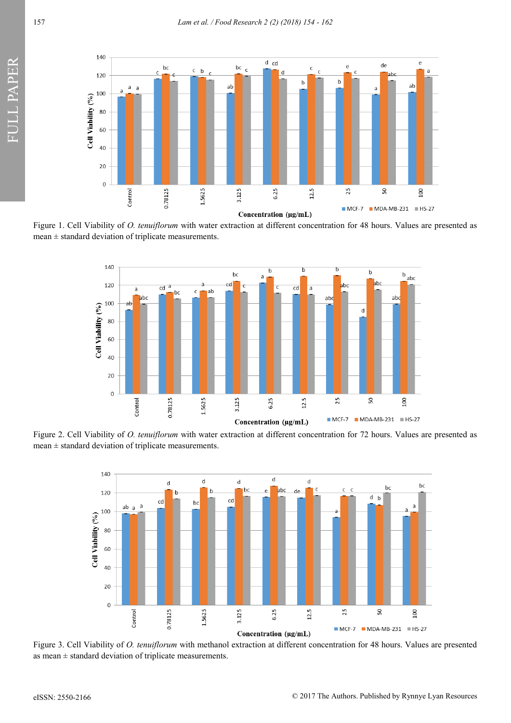

Figure 1. Cell Viability of *O. tenuiflorum* with water extraction at different concentration for 48 hours. Values are presented as  $mean \pm standard deviation of triplicate measurements.$ 



Figure 2. Cell Viability of *O. tenuiflorum* with water extraction at different concentration for 72 hours. Values are presented as  $mean \pm standard deviation of triplicate measurements.$ 



Figure 3. Cell Viability of *O. tenuiflorum* with methanol extraction at different concentration for 48 hours. Values are presented as mean ± standard deviation of triplicate measurements.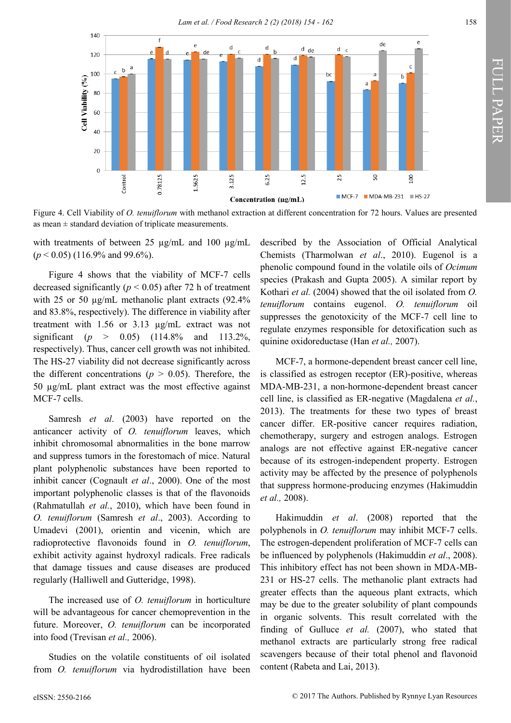

Figure 4. Cell Viability of *O. tenuiflorum* with methanol extraction at different concentration for 72 hours. Values are presented as mean  $\pm$  standard deviation of triplicate measurements.

with treatments of between 25 µg/mL and 100 µg/mL (*p* < 0.05) (116.9% and 99.6%).

Figure 4 shows that the viability of MCF-7 cells decreased significantly ( $p < 0.05$ ) after 72 h of treatment with 25 or 50  $\mu$ g/mL methanolic plant extracts (92.4%) and 83.8%, respectively). The difference in viability after treatment with 1.56 or 3.13 µg/mL extract was not significant (*p* > 0.05) (114.8% and 113.2%, respectively). Thus, cancer cell growth was not inhibited. The HS-27 viability did not decrease significantly across the different concentrations ( $p > 0.05$ ). Therefore, the 50 µg/mL plant extract was the most effective against MCF-7 cells.

Samresh *et al*. (2003) have reported on the anticancer activity of *O. tenuiflorum* leaves, which inhibit chromosomal abnormalities in the bone marrow and suppress tumors in the forestomach of mice. Natural plant polyphenolic substances have been reported to inhibit cancer (Cognault *et al*., 2000). One of the most important polyphenolic classes is that of the flavonoids (Rahmatullah *et al.*, 2010), which have been found in *O. tenuiflorum* (Samresh *et al*., 2003). According to Umadevi (2001), orientin and vicenin, which are radioprotective flavonoids found in *O. tenuiflorum*, exhibit activity against hydroxyl radicals. Free radicals that damage tissues and cause diseases are produced regularly (Halliwell and Gutteridge, 1998).

The increased use of *O. tenuiflorum* in horticulture will be advantageous for cancer chemoprevention in the future. Moreover, *O. tenuiflorum* can be incorporated into food (Trevisan *et al.,* 2006).

Studies on the volatile constituents of oil isolated from *O. tenuiflorum* via hydrodistillation have been described by the Association of Official Analytical Chemists (Tharmolwan *et al*., 2010). Eugenol is a phenolic compound found in the volatile oils of *Ocimum* species (Prakash and Gupta 2005). A similar report by Kothari *et al.* (2004) showed that the oil isolated from *O. tenuiflorum* contains eugenol. *O. tenuiflorum* oil suppresses the genotoxicity of the MCF-7 cell line to regulate enzymes responsible for detoxification such as quinine oxidoreductase (Han *et al.,* 2007).

MCF-7, a hormone-dependent breast cancer cell line, is classified as estrogen receptor (ER)-positive, whereas MDA-MB-231, a non-hormone-dependent breast cancer cell line, is classified as ER-negative (Magdalena *et al.*, 2013). The treatments for these two types of breast cancer differ. ER-positive cancer requires radiation, chemotherapy, surgery and estrogen analogs. Estrogen analogs are not effective against ER-negative cancer because of its estrogen-independent property. Estrogen activity may be affected by the presence of polyphenols that suppress hormone-producing enzymes (Hakimuddin *et al.,* 2008).

Hakimuddin *et al*. (2008) reported that the polyphenols in *O. tenuiflorum* may inhibit MCF-7 cells. The estrogen-dependent proliferation of MCF-7 cells can be influenced by polyphenols (Hakimuddin *et al*., 2008). This inhibitory effect has not been shown in MDA-MB-231 or HS-27 cells. The methanolic plant extracts had greater effects than the aqueous plant extracts, which may be due to the greater solubility of plant compounds in organic solvents. This result correlated with the finding of Gulluce *et al.* (2007), who stated that methanol extracts are particularly strong free radical scavengers because of their total phenol and flavonoid content (Rabeta and Lai, 2013).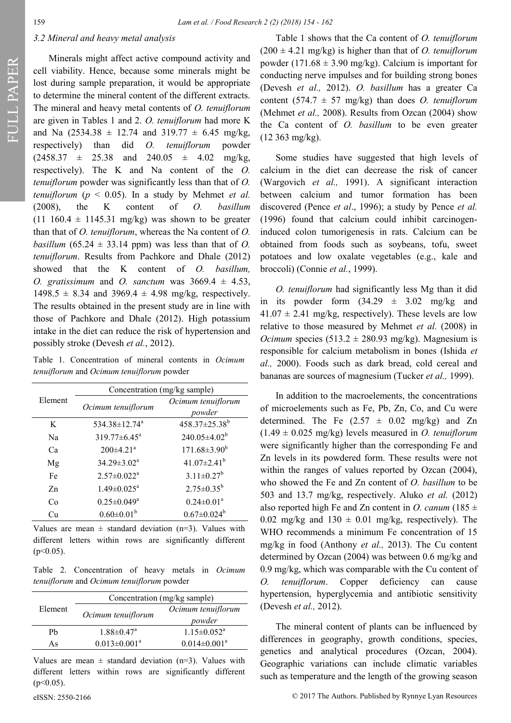FULL PAPER FULL PAPER

#### *3.2 Mineral and heavy metal analysis*

Minerals might affect active compound activity and cell viability. Hence, because some minerals might be lost during sample preparation, it would be appropriate to determine the mineral content of the different extracts. The mineral and heavy metal contents of *O. tenuiflorum* are given in Tables 1 and 2. *O. tenuiflorum* had more K and Na  $(2534.38 \pm 12.74 \text{ and } 319.77 \pm 6.45 \text{ mg/kg})$ respectively) than did *O. tenuiflorum* powder  $(2458.37 \pm 25.38 \text{ and } 240.05 \pm 4.02 \text{ mg/kg})$ respectively). The K and Na content of the *O. tenuiflorum* powder was significantly less than that of *O. tenuiflorum* (*p* < 0.05). In a study by Mehmet *et al.* (2008), the K content of *O. basillum*  $(11\ 160.4 \pm 1145.31 \text{ mg/kg})$  was shown to be greater than that of *O. tenuiflorum*, whereas the Na content of *O. basillum* (65.24  $\pm$  33.14 ppm) was less than that of *O*. *tenuiflorum*. Results from Pachkore and Dhale (2012) showed that the K content of *O. basillum, O. gratissimum* and *O. sanctum* was 3669.4 ± 4.53,  $1498.5 \pm 8.34$  and  $3969.4 \pm 4.98$  mg/kg, respectively. The results obtained in the present study are in line with those of Pachkore and Dhale (2012). High potassium intake in the diet can reduce the risk of hypertension and possibly stroke (Devesh *et al.*, 2012).

Table 1. Concentration of mineral contents in *Ocimum tenuiflorum* and *Ocimum tenuiflorum* powder

|         | Concentration (mg/kg sample)    |                               |
|---------|---------------------------------|-------------------------------|
| Element | Ocimum tenuiflorum              | Ocimum tenuiflorum<br>powder  |
| K       | $534.38 \pm 12.74$ <sup>a</sup> | 458.37±25.38 <sup>b</sup>     |
| Na      | $319.77 \pm 6.45^a$             | $240.05 \pm 4.02^b$           |
| Ca      | $200\pm4.21^a$                  | $171.68 \pm 3.90^b$           |
| Mg      | $34.29 \pm 3.02^a$              | $41.07 \pm 2.41$ <sup>b</sup> |
| Fe      | $2.57 \pm 0.022^a$              | $3.11 \pm 0.27^b$             |
| $Z_{n}$ | $1.49 \pm 0.025$ <sup>a</sup>   | $2.75 \pm 0.35^b$             |
| Co      | $0.25 \pm 0.049^a$              | $0.24 \pm 0.01^a$             |
| Cп      | $0.60 \pm 0.01^b$               | $0.67 \pm 0.024^b$            |

Values are mean  $\pm$  standard deviation (n=3). Values with different letters within rows are significantly different  $(p<0.05)$ .

Table 2. Concentration of heavy metals in *Ocimum tenuiflorum* and *Ocimum tenuiflorum* powder

| Element | Concentration (mg/kg sample) |                               |
|---------|------------------------------|-------------------------------|
|         | Ocimum tenuiflorum           | Ocimum tenuiflorum            |
|         |                              | powder                        |
| Ph      | $1.88 \pm 0.47$ <sup>a</sup> | $1.15 \pm 0.052$ <sup>a</sup> |
| As      | $0.013 \pm 0.001^a$          | $0.014 \pm 0.001^a$           |

Values are mean  $\pm$  standard deviation (n=3). Values with different letters within rows are significantly different  $(p<0.05)$ .

Table 1 shows that the Ca content of *O. tenuiflorum* (200 ± 4.21 mg/kg) is higher than that of *O. tenuiflorum* powder (171.68  $\pm$  3.90 mg/kg). Calcium is important for conducting nerve impulses and for building strong bones (Devesh *et al.,* 2012). *O. basillum* has a greater Ca content  $(574.7 \pm 57 \text{ mg/kg})$  than does *O. tenuiflorum* (Mehmet *et al.,* 2008). Results from Ozcan (2004) show the Ca content of *O. basillum* to be even greater (12 363 mg/kg).

Some studies have suggested that high levels of calcium in the diet can decrease the risk of cancer (Wargovich *et al.,* 1991). A significant interaction between calcium and tumor formation has been discovered (Pence *et al*., 1996); a study by Pence *et al.* (1996) found that calcium could inhibit carcinogeninduced colon tumorigenesis in rats. Calcium can be obtained from foods such as soybeans, tofu, sweet potatoes and low oxalate vegetables (e.g., kale and broccoli) (Connie *et al.*, 1999).

*O. tenuiflorum* had significantly less Mg than it did in its powder form  $(34.29 \pm 3.02 \text{ mg/kg}$  and  $41.07 \pm 2.41$  mg/kg, respectively). These levels are low relative to those measured by Mehmet *et al.* (2008) in *Ocimum* species  $(513.2 \pm 280.93 \text{ mg/kg})$ . Magnesium is responsible for calcium metabolism in bones (Ishida *et al.,* 2000). Foods such as dark bread, cold cereal and bananas are sources of magnesium (Tucker *et al.,* 1999).

In addition to the macroelements, the concentrations of microelements such as Fe, Pb, Zn, Co, and Cu were determined. The Fe  $(2.57 \pm 0.02 \text{ mg/kg})$  and Zn (1.49 ± 0.025 mg/kg) levels measured in *O. tenuiflorum* were significantly higher than the corresponding Fe and Zn levels in its powdered form. These results were not within the ranges of values reported by Ozcan (2004), who showed the Fe and Zn content of *O. basillum* to be 503 and 13.7 mg/kg, respectively. Aluko *et al.* (2012) also reported high Fe and Zn content in *O. canum* (185  $\pm$ 0.02 mg/kg and  $130 \pm 0.01$  mg/kg, respectively). The WHO recommends a minimum Fe concentration of 15 mg/kg in food (Anthony *et al.,* 2013). The Cu content determined by Ozcan (2004) was between 0.6 mg/kg and 0.9 mg/kg, which was comparable with the Cu content of *O. tenuiflorum*. Copper deficiency can cause hypertension, hyperglycemia and antibiotic sensitivity (Devesh *et al.,* 2012).

The mineral content of plants can be influenced by differences in geography, growth conditions, species, genetics and analytical procedures (Ozcan, 2004). Geographic variations can include climatic variables such as temperature and the length of the growing season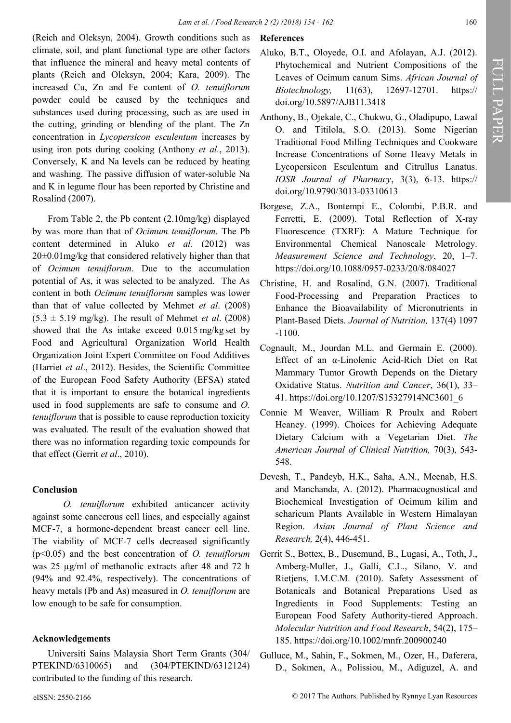(Reich and Oleksyn, 2004). Growth conditions such as climate, soil, and plant functional type are other factors that influence the mineral and heavy metal contents of plants (Reich and Oleksyn, 2004; Kara, 2009). The increased Cu, Zn and Fe content of *O. tenuiflorum* powder could be caused by the techniques and substances used during processing, such as are used in the cutting, grinding or blending of the plant. The Zn concentration in *Lycopersicon esculentum* increases by using iron pots during cooking (Anthony *et al.*, 2013). Conversely, K and Na levels can be reduced by heating and washing. The passive diffusion of water-soluble Na and K in legume flour has been reported by Christine and Rosalind (2007).

From Table 2, the Pb content (2.10mg/kg) displayed by was more than that of *Ocimum tenuiflorum.* The Pb content determined in Aluko *et al.* (2012) was 20±0.01mg/kg that considered relatively higher than that of *Ocimum tenuiflorum*. Due to the accumulation potential of As, it was selected to be analyzed. The As content in both *Ocimum tenuiflorum* samples was lower than that of value collected by Mehmet *et al*. (2008)  $(5.3 \pm 5.19 \text{ mg/kg})$ . The result of Mehmet *et al.* (2008) showed that the As intake exceed 0.015 mg/kg set by Food and Agricultural Organization World Health Organization Joint Expert Committee on Food Additives (Harriet *et al*., 2012). Besides, the Scientific Committee of the European Food Safety Authority (EFSA) stated that it is important to ensure the botanical ingredients used in food supplements are safe to consume and *O. tenuiflorum* that is possible to cause reproduction toxicity was evaluated. The result of the evaluation showed that there was no information regarding toxic compounds for that effect (Gerrit *et al*., 2010).

# **Conclusion**

*O. tenuiflorum* exhibited anticancer activity against some cancerous cell lines, and especially against MCF-7, a hormone-dependent breast cancer cell line. The viability of MCF-7 cells decreased significantly (p<0.05) and the best concentration of *O. tenuiflorum*  was 25 µg/ml of methanolic extracts after 48 and 72 h (94% and 92.4%, respectively). The concentrations of heavy metals (Pb and As) measured in *O. tenuiflorum* are low enough to be safe for consumption.

# **Acknowledgements**

Universiti Sains Malaysia Short Term Grants (304/ PTEKIND/6310065) and (304/PTEKIND/6312124) contributed to the funding of this research.

- Aluko, B.T., Oloyede, O.I. and Afolayan, A.J. (2012). Phytochemical and Nutrient Compositions of the Leaves of Ocimum canum Sims. *African Journal of Biotechnology,* 11(63), 12697-12701. https:// [doi.org/10.5897/AJB11.3418](https://doi.org/10.5897/AJB11.3418)
- Anthony, B., Ojekale, C., Chukwu, G., Oladipupo, Lawal O. and Titilola, S.O. (2013). Some Nigerian Traditional Food Milling Techniques and Cookware Increase Concentrations of Some Heavy Metals in Lycopersicon Esculentum and Citrullus Lanatus. *IOSR Journal of Pharmacy*, 3(3), 6-13. https:// [doi.org/10.9790/3013](https://doi.org/10.9790/3013-03310613)-03310613
- Borgese, Z.A., Bontempi E., Colombi, P.B.R. and Ferretti, E. (2009). Total Reflection of X-ray Fluorescence (TXRF): A Mature Technique for Environmental Chemical Nanoscale Metrology. *Measurement Science and Technology*, 20, 1–7. [https://doi.org/10.1088/0957](https://doi.org/10.1088/0957-0233/20/8/084027)-0233/20/8/084027
- Christine, H. and Rosalind, G.N. (2007). Traditional Food-Processing and Preparation Practices to Enhance the Bioavailability of Micronutrients in Plant-Based Diets. *Journal of Nutrition,* 137(4) 1097 -1100.
- Cognault, M., Jourdan M.L. and Germain E. (2000). Effect of an α-Linolenic Acid-Rich Diet on Rat Mammary Tumor Growth Depends on the Dietary Oxidative Status. *Nutrition and Cancer*, 36(1), 33– 41. [https://doi.org/10.1207/S15327914NC3601\\_6](https://doi.org/10.1207/S15327914NC3601_6)
- [Connie M Weaver,](http://ajcn.nutrition.org/search?author1=Connie+M+Weaver&sortspec=date&submit=Submit) [William R Proulx a](http://ajcn.nutrition.org/search?author1=William+R+Proulx&sortspec=date&submit=Submit)nd Robert [Heaney.](http://ajcn.nutrition.org/search?author1=Robert+Heaney&sortspec=date&submit=Submit) (1999). Choices for Achieving Adequate Dietary Calcium with a Vegetarian Diet. *The American Journal of Clinical Nutrition,* 70(3), 543- 548.
- Devesh, T., Pandeyb, H.K., Saha, A.N., Meenab, H.S. and Manchanda, A. (2012). Pharmacognostical and Biochemical Investigation of Ocimum kilim and scharicum Plants Available in Western Himalayan Region. *Asian Journal of Plant Science and Research,* 2(4), 446-451.
- Gerrit S., Bottex, B., Dusemund, B., Lugasi, A., Toth, J., Amberg-Muller, J., Galli, C.L., Silano, V. and Rietjens, I.M.C.M. (2010). Safety Assessment of Botanicals and Botanical Preparations Used as Ingredients in Food Supplements: Testing an European Food Safety Authority-tiered Approach. *Molecular Nutrition and Food Research*, 54(2), 175– 185. <https://doi.org/10.1002/mnfr.200900240>
- [Gulluce,](http://www.sciencedirect.com/science/article/pii/S0308814606008466) M., Sahin, F., Sokmen, M., Ozer, H., Daferera, D., Sokmen, A., Polissiou, M., Adiguzel, A. and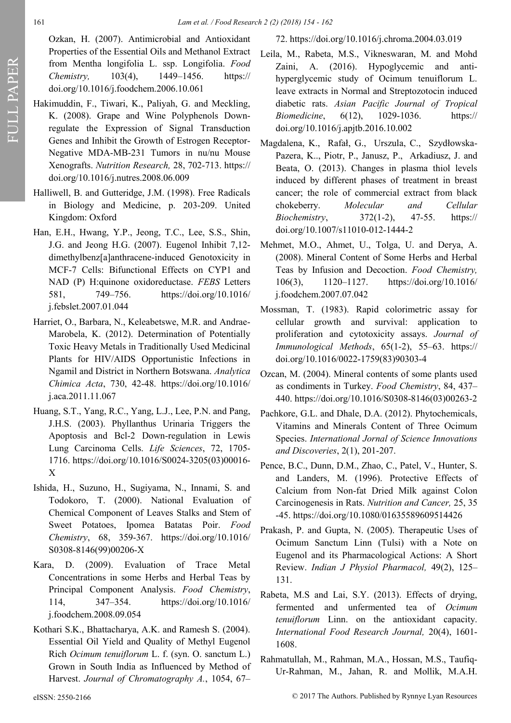Ozkan, H. (2007). Antimicrobial and Antioxidant Properties of the Essential Oils and Methanol Extract from Mentha longifolia L. ssp. Longifolia. *Food Chemistry,* 103(4), 1449–1456. https:// [doi.org/10.1016/j.foodchem.2006.10.061](https://doi.org/10.1016/j.foodchem.2006.10.061)

- Hakimuddin, F., Tiwari, K., Paliyah, G. and Meckling, K. (2008). Grape and Wine Polyphenols Downregulate the Expression of Signal Transduction Genes and Inhibit the Growth of Estrogen Receptor-Negative MDA-MB-231 Tumors in nu/nu Mouse Xenografts. *Nutrition Research,* 28, 702-713. https:// [doi.org/10.1016/j.nutres.2008.06.009](https://doi.org/10.1016/j.nutres.2008.06.009)
- Halliwell, B. and Gutteridge, J.M. (1998). Free Radicals in Biology and Medicine, p. 203-209. United Kingdom: Oxford
- Han, E.H., Hwang, Y.P., Jeong, T.C., Lee, S.S., Shin, J.G. and Jeong H.G. (2007). Eugenol Inhibit 7,12 dimethylbenz[a]anthracene-induced Genotoxicity in MCF-7 Cells: Bifunctional Effects on CYP1 and NAD (P) H:quinone oxidoreductase. *FEBS* Letters 581, 749–756. [https://doi.org/10.1016/](https://doi.org/10.1016/j.febslet.2007.01.044) [j.febslet.2007.01.044](https://doi.org/10.1016/j.febslet.2007.01.044)
- Harriet, O., Barbara, N., Keleabetswe, M.R. and Andrae-Marobela, K. (2012). Determination of Potentially Toxic Heavy Metals in Traditionally Used Medicinal Plants for HIV/AIDS Opportunistic Infections in Ngamil and District in Northern Botswana. *Analytica Chimica Acta*, 730, 42-48. [https://doi.org/10.1016/](https://doi.org/10.1016/j.aca.2011.11.067) [j.aca.2011.11.067](https://doi.org/10.1016/j.aca.2011.11.067)
- Huang, S.T., Yang, R.C., Yang, L.J., Lee, P.N. and Pang, J.H.S. (2003). Phyllanthus Urinaria Triggers the Apoptosis and Bcl-2 Down-regulation in Lewis Lung Carcinoma Cells. *Life Sciences*, 72, 1705- 1716. [https://doi.org/10.1016/S0024](https://doi.org/10.1016/S0024-3205(03)00016-X)-3205(03)00016- [X](https://doi.org/10.1016/S0024-3205(03)00016-X)
- Ishida, H., Suzuno, H., Sugiyama, N., Innami, S. and Todokoro, T. (2000). National Evaluation of Chemical Component of Leaves Stalks and Stem of Sweet Potatoes, Ipomea Batatas Poir. *Food Chemistry*, 68, 359-367. [https://doi.org/10.1016/](https://doi.org/10.1016/S0308-8146(99)00206-X) S0308-[8146\(99\)00206](https://doi.org/10.1016/S0308-8146(99)00206-X)-X
- Kara, D. (2009). Evaluation of Trace Metal Concentrations in some Herbs and Herbal Teas by Principal Component Analysis. *Food Chemistry*, 114, 347–354. [https://doi.org/10.1016/](https://doi.org/10.1016/j.foodchem.2008.09.054) [j.foodchem.2008.09.054](https://doi.org/10.1016/j.foodchem.2008.09.054)
- Kothari S.K., Bhattacharya, A.K. and Ramesh S. (2004). Essential Oil Yield and Quality of Methyl Eugenol Rich *Ocimum tenuiflorum* L. f. (syn. O. sanctum L.) Grown in South India as Influenced by Method of Harvest. *Journal of Chromatography A.*, 1054, 67–

# 72. <https://doi.org/10.1016/j.chroma.2004.03.019>

- Leila, M., Rabeta, M.S., Vikneswaran, M. and Mohd Zaini, A. (2016). Hypoglycemic and antihyperglycemic study of Ocimum tenuiflorum L. leave extracts in Normal and Streptozotocin induced diabetic rats. *Asian Pacific Journal of Tropical Biomedicine*, 6(12), 1029-1036. https:// [doi.org/10.1016/j.apjtb.2016.10.002](https://doi.org/10.1016/j.apjtb.2016.10.002)
- [Magdalena, K.,](http://link.springer.com/search?facet-author=%22Magdalena+K%C4%99dzierska%22) [Rafał, G.,](http://link.springer.com/search?facet-author=%22Rafa%C5%82+G%C5%82owacki%22) Urszula, C., Szydłowska-[Pazera,](http://link.springer.com/search?facet-author=%22Katarzyna+Szyd%C5%82owska-Pazera%22) K.., [Piotr, P.,](http://link.springer.com/search?facet-author=%22Piotr+Potemski%22) Janusz, P., Arkadiusz, J. and [Beata, O. \(](http://link.springer.com/search?facet-author=%22Beata+Olas%22)2013). Changes in plasma thiol levels induced by different phases of treatment in breast cancer; the role of commercial extract from black chokeberry. *[Molecular and Cellular](http://link.springer.com/journal/11010)  [Biochemistry](http://link.springer.com/journal/11010)*, 372(1-[2\),](http://link.springer.com/journal/11010/372/1/page/1) 47-55. https:// [doi.org/10.1007/s11010](https://doi.org/10.1007/s11010-012-1444-2)-012-1444-2
- Mehmet, M.O., Ahmet, U., Tolga, U. and Derya, A. (2008). Mineral Content of Some Herbs and Herbal Teas by Infusion and Decoction. *Food Chemistry,* 106(3), 1120–1127. [https://doi.org/10.1016/](https://doi.org/10.1016/j.foodchem.2007.07.042) [j.foodchem.2007.07.042](https://doi.org/10.1016/j.foodchem.2007.07.042)
- Mossman, T. (1983). Rapid colorimetric assay for cellular growth and survival: application to proliferation and cytotoxicity assays. *Journal of Immunological Methods*, 65(1-2), 55–63. https:// [doi.org/10.1016/0022](https://doi.org/10.1016/0022-1759(83)90303-4)-1759(83)90303-4
- Ozcan, M. (2004). Mineral contents of some plants used as condiments in Turkey. *Food Chemistry*, 84, 437– 440. [https://doi.org/10.1016/S0308](https://doi.org/10.1016/S0308-8146(03)00263-2)-8146(03)00263-2
- Pachkore, G.L. and Dhale, D.A. (2012). Phytochemicals, Vitamins and Minerals Content of Three Ocimum Species. *International Jornal of Science Innovations and Discoveries*, 2(1), 201-207.
- Pence, B.C., Dunn, D.M., Zhao, C., Patel, V., Hunter, S. and Landers, M. (1996). Protective Effects of Calcium from Non-fat Dried Milk against Colon Carcinogenesis in Rats. *Nutrition and Cancer,* 25, 35 -45. <https://doi.org/10.1080/01635589609514426>
- Prakash, P. and Gupta, N. (2005). Therapeutic Uses of Ocimum Sanctum Linn (Tulsi) with a Note on Eugenol and its Pharmacological Actions: A Short Review. *Indian J Physiol Pharmacol,* 49(2), 125– 131.
- Rabeta, M.S and Lai, S.Y. (2013). Effects of drying, fermented and unfermented tea of *Ocimum tenuiflorum* Linn. on the antioxidant capacity. *International Food Research Journal,* 20(4), 1601- 1608.
- Rahmatullah, M., Rahman, M.A., Hossan, M.S., Taufiq-Ur-Rahman, M., Jahan, R. and Mollik, M.A.H.